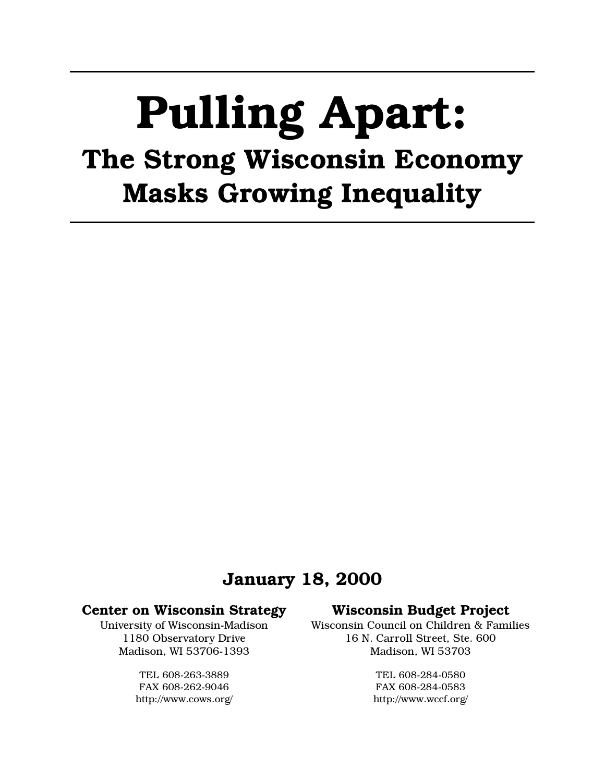# **Pulling Apart:** The Strong Wisconsin Economy **Masks Growing Inequality**

## **January 18, 2000**

#### **Center on Wisconsin Strategy**

University of Wisconsin-Madison 1180 Observatory Drive Madison, WI 53706-1393

> TEL 608-263-3889 FAX 608-262-9046 http://www.cows.org/

### **Wisconsin Budget Project**

Wisconsin Council on Children & Families 16 N. Carroll Street. Ste. 600 Madison, WI 53703

> TEL 608-284-0580 FAX 608-284-0583 http://www.wccf.org/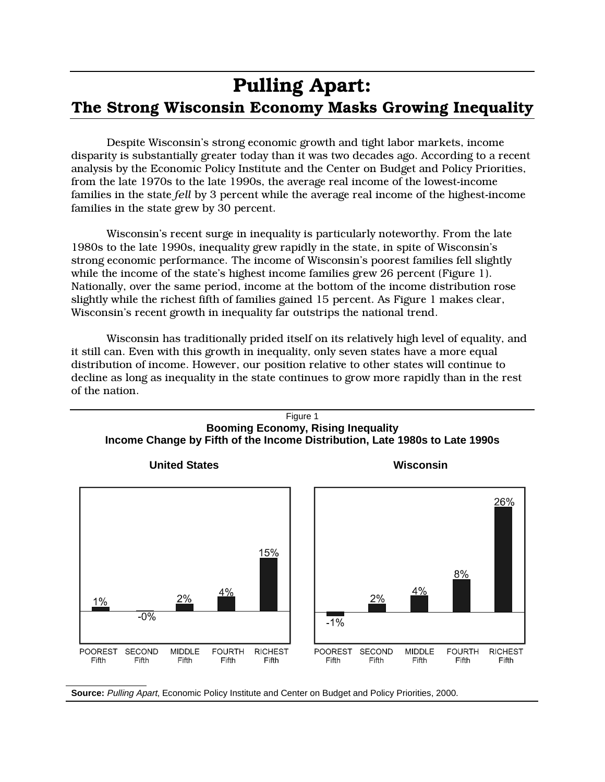# **Pulling Apart:** The Strong Wisconsin Economy Masks Growing Inequality

Despite Wisconsin's strong economic growth and tight labor markets, income disparity is substantially greater today than it was two decades ago. According to a recent analysis by the Economic Policy Institute and the Center on Budget and Policy Priorities, from the late 1970s to the late 1990s, the average real income of the lowest-income families in the state fell by 3 percent while the average real income of the highest-income families in the state grew by 30 percent.

Wisconsin's recent surge in inequality is particularly noteworthy. From the late 1980s to the late 1990s, inequality grew rapidly in the state, in spite of Wisconsin's strong economic performance. The income of Wisconsin's poorest families fell slightly while the income of the state's highest income families grew 26 percent (Figure 1). Nationally, over the same period, income at the bottom of the income distribution rose slightly while the richest fifth of families gained 15 percent. As Figure 1 makes clear, Wisconsin's recent growth in inequality far outstrips the national trend.

Wisconsin has traditionally prided itself on its relatively high level of equality, and it still can. Even with this growth in inequality, only seven states have a more equal distribution of income. However, our position relative to other states will continue to decline as long as inequality in the state continues to grow more rapidly than in the rest of the nation.



Source: Pulling Apart, Economic Policy Institute and Center on Budget and Policy Priorities, 2000.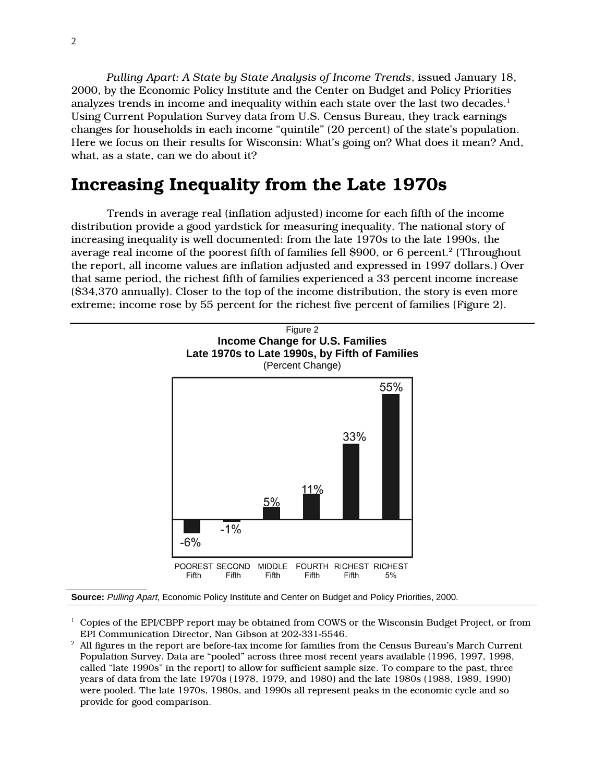Pulling Apart: A State by State Analysis of Income Trends, issued January 18, 2000, by the Economic Policy Institute and the Center on Budget and Policy Priorities analyzes trends in income and inequality within each state over the last two decades.<sup>1</sup> Using Current Population Survey data from U.S. Census Bureau, they track earnings changes for households in each income "quintile" (20 percent) of the state's population. Here we focus on their results for Wisconsin: What's going on? What does it mean? And, what, as a state, can we do about it?

## Increasing Inequality from the Late 1970s

Trends in average real (inflation adjusted) income for each fifth of the income distribution provide a good yardstick for measuring inequality. The national story of increasing inequality is well documented: from the late 1970s to the late 1990s, the average real income of the poorest fifth of families fell \$900, or 6 percent.<sup>2</sup> (Throughout the report, all income values are inflation adjusted and expressed in 1997 dollars.) Over that same period, the richest fifth of families experienced a 33 percent income increase (\$34,370 annually). Closer to the top of the income distribution, the story is even more extreme; income rose by 55 percent for the richest five percent of families (Figure 2).



Source: Pulling Apart, Economic Policy Institute and Center on Budget and Policy Priorities, 2000.

 $\frac{1}{2}$  Copies of the EPI/CBPP report may be obtained from COWS or the Wisconsin Budget Project, or from EPI Communication Director, Nan Gibson at 202-331-5546.

 $^{\rm 2}\,$  All figures in the report are before-tax income for families from the Census Bureau's March Current Population Survey. Data are "pooled" across three most recent years available (1996, 1997, 1998, called "late 1990s" in the report) to allow for sufficient sample size. To compare to the past, three years of data from the late 1970s (1978, 1979, and 1980) and the late 1980s (1988, 1989, 1990) were pooled. The late 1970s, 1980s, and 1990s all represent peaks in the economic cycle and so provide for good comparison.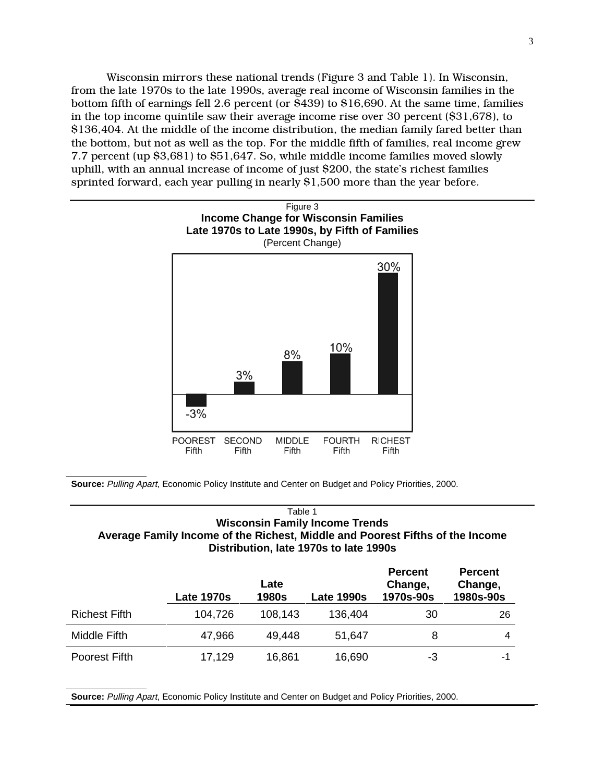Wisconsin mirrors these national trends (Figure 3 and Table 1). In Wisconsin, from the late 1970s to the late 1990s, average real income of Wisconsin families in the bottom fifth of earnings fell 2.6 percent (or  $\bar{8}439$ ) to \$16,690. At the same time, families in the top income quintile saw their average income rise over 30 percent  $(\$31,678)$ , to \$136,404. At the middle of the income distribution, the median family fared better than the bottom, but not as well as the top. For the middle fifth of families, real income grew 7.7 percent (up  $$3,681$ ) to  $$51,647$ . So, while middle income families moved slowly uphill, with an annual increase of income of just \$200, the state's richest families sprinted forward, each year pulling in nearly  $$1,500$  more than the year before.



**Source:** Pulling Apart, Economic Policy Institute and Center on Budget and Policy Priorities, 2000.

#### Table 1 **Wisconsin Family Income Trends Average Family Income of the Richest, Middle and Poorest Fifths of the Income Distribution, late 1970s to late 1990s**

|                      | <b>Late 1970s</b> | Late<br><b>1980s</b> | <b>Late 1990s</b> | <b>Percent</b><br>Change,<br>1970s-90s | <b>Percent</b><br>Change,<br>1980s-90s |
|----------------------|-------------------|----------------------|-------------------|----------------------------------------|----------------------------------------|
| <b>Richest Fifth</b> | 104,726           | 108,143              | 136,404           | 30                                     | 26                                     |
| Middle Fifth         | 47,966            | 49,448               | 51,647            | 8                                      | 4                                      |
| Poorest Fifth        | 17,129            | 16,861               | 16,690            | -3                                     | -1                                     |

**Source:** Pulling Apart, Economic Policy Institute and Center on Budget and Policy Priorities, 2000.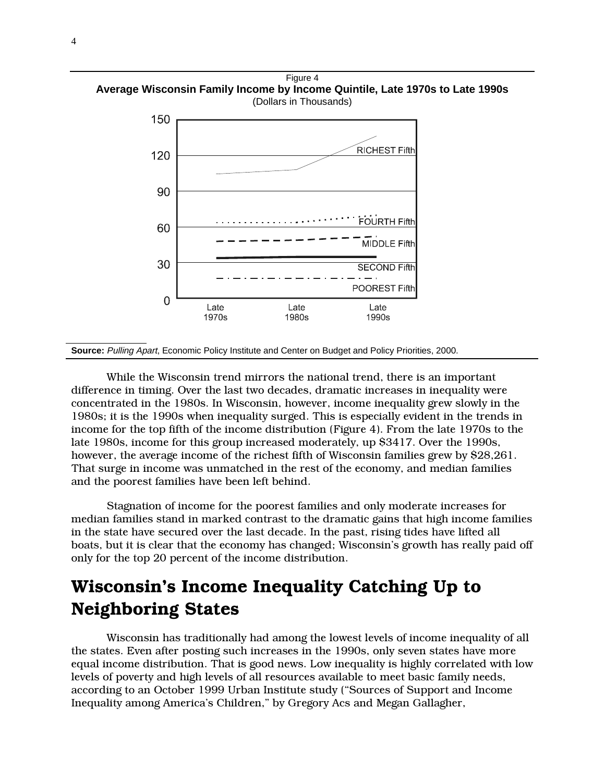Figure 4 **Average Wisconsin Family Income by Income Quintile, Late 1970s to Late 1990s** (Dollars in Thousands)



**Source:** Pulling Apart, Economic Policy Institute and Center on Budget and Policy Priorities, 2000.

While the Wisconsin trend mirrors the national trend, there is an important difference in timing. Over the last two decades, dramatic increases in inequality were concentrated in the 1980s. In Wisconsin, however, income inequality grew slowly in the 1980s; it is the 1990s when inequality surged. This is especially evident in the trends in income for the top fifth of the income distribution (Figure 4). From the late 1970s to the late 1980s, income for this group increased moderately, up \$3417. Over the 1990s, however, the average income of the richest fifth of Wisconsin families grew by \$28,261. That surge in income was unmatched in the rest of the economy, and median families and the poorest families have been left behind.

Stagnation of income for the poorest families and only moderate increases for median families stand in marked contrast to the dramatic gains that high income families in the state have secured over the last decade. In the past, rising tides have lifted all boats, but it is clear that the economy has changed; Wisconsin's growth has really paid off only for the top 20 percent of the income distribution.

## Wisconsin's Income Inequality Catching Up to **Neighboring States**

Wisconsin has traditionally had among the lowest levels of income inequality of all the states. Even after posting such increases in the 1990s, only seven states have more equal income distribution. That is good news. Low inequality is highly correlated with low levels of poverty and high levels of all resources available to meet basic family needs, according to an October 1999 Urban Institute study ("Sources of Support and Income Inequality among America's Children," by Gregory Acs and Megan Gallagher,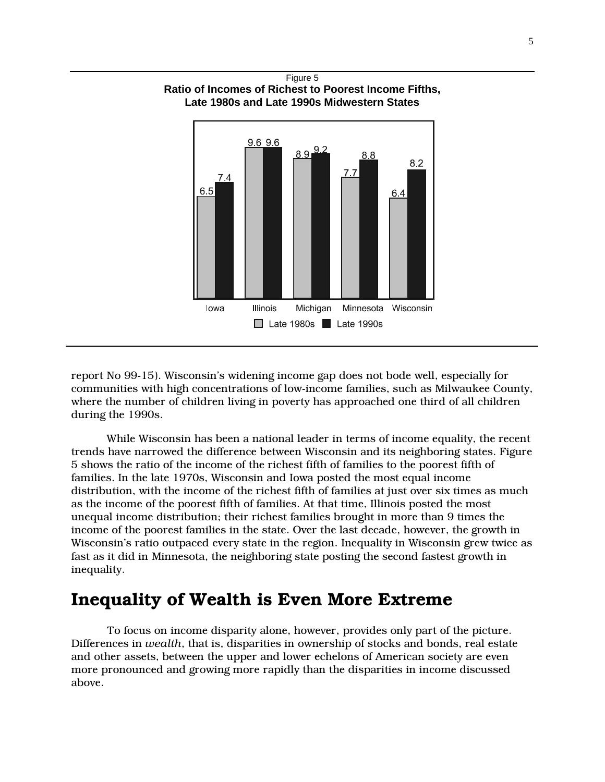

report No 99-15). Wisconsin's widening income gap does not bode well, especially for communities with high concentrations of low-income families, such as Milwaukee County, where the number of children living in poverty has approached one third of all children during the 1990s.

While Wisconsin has been a national leader in terms of income equality, the recent trends have narrowed the difference between Wisconsin and its neighboring states. Figure 5 shows the ratio of the income of the richest fifth of families to the poorest fifth of families. In the late 1970s, Wisconsin and Iowa posted the most equal income distribution, with the income of the richest fifth of families at just over six times as much as the income of the poorest fifth of families. At that time, Illinois posted the most unequal income distribution; their richest families brought in more than 9 times the income of the poorest families in the state. Over the last decade, however, the growth in Wisconsin's ratio outpaced every state in the region. Inequality in Wisconsin grew twice as fast as it did in Minnesota, the neighboring state posting the second fastest growth in inequality.

## Inequality of Wealth is Even More Extreme

To focus on income disparity alone, however, provides only part of the picture. Differences in *wealth*, that is, disparities in ownership of stocks and bonds, real estate and other assets, between the upper and lower echelons of American society are even more pronounced and growing more rapidly than the disparities in income discussed above.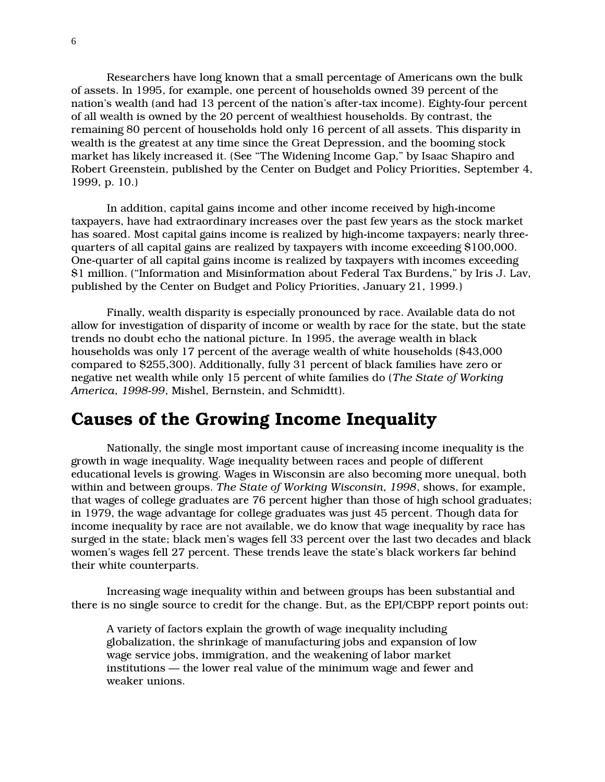Researchers have long known that a small percentage of Americans own the bulk of assets. In 1995, for example, one percent of households owned 39 percent of the nation's wealth (and had 13 percent of the nation's after-tax income). Eighty-four percent of all wealth is owned by the 20 percent of wealthiest households. By contrast, the remaining 80 percent of households hold only 16 percent of all assets. This disparity in wealth is the greatest at any time since the Great Depression, and the booming stock market has likely increased it. (See "The Widening Income Gap," by Isaac Shapiro and Robert Greenstein, published by the Center on Budget and Policy Priorities, September 4, 1999, p. 10.)

In addition, capital gains income and other income received by high-income taxpayers, have had extraordinary increases over the past few years as the stock market has soared. Most capital gains income is realized by high-income taxpayers; nearly threequarters of all capital gains are realized by taxpayers with income exceeding \$100,000. One-quarter of all capital gains income is realized by taxpayers with incomes exceeding S1 million. ("Information and Misinformation about Federal Tax Burdens." by Iris J. Lay. published by the Center on Budget and Policy Priorities, January 21, 1999.)

Finally, wealth disparity is especially pronounced by race. Available data do not allow for investigation of disparity of income or wealth by race for the state, but the state trends no doubt echo the national picture. In 1995, the average wealth in black households was only 17 percent of the average wealth of white households (\$43,000) compared to \$255,300). Additionally, fully 31 percent of black families have zero or negative net wealth while only 15 percent of white families do (The State of Working America, 1998-99, Mishel, Bernstein, and Schmidtt).

## **Causes of the Growing Income Inequality**

Nationally, the single most important cause of increasing income inequality is the growth in wage inequality. Wage inequality between races and people of different educational levels is growing. Wages in Wisconsin are also becoming more unequal, both within and between groups. The State of Working Wisconsin, 1998, shows, for example, that wages of college graduates are 76 percent higher than those of high school graduates; in 1979, the wage advantage for college graduates was just 45 percent. Though data for income inequality by race are not available, we do know that wage inequality by race has surged in the state; black men's wages fell 33 percent over the last two decades and black women's wages fell 27 percent. These trends leave the state's black workers far behind their white counterparts.

Increasing wage inequality within and between groups has been substantial and there is no single source to credit for the change. But, as the EPI/CBPP report points out:

A variety of factors explain the growth of wage inequality including globalization, the shrinkage of manufacturing jobs and expansion of low wage service jobs, immigration, and the weakening of labor market institutions — the lower real value of the minimum wage and fewer and weaker unions.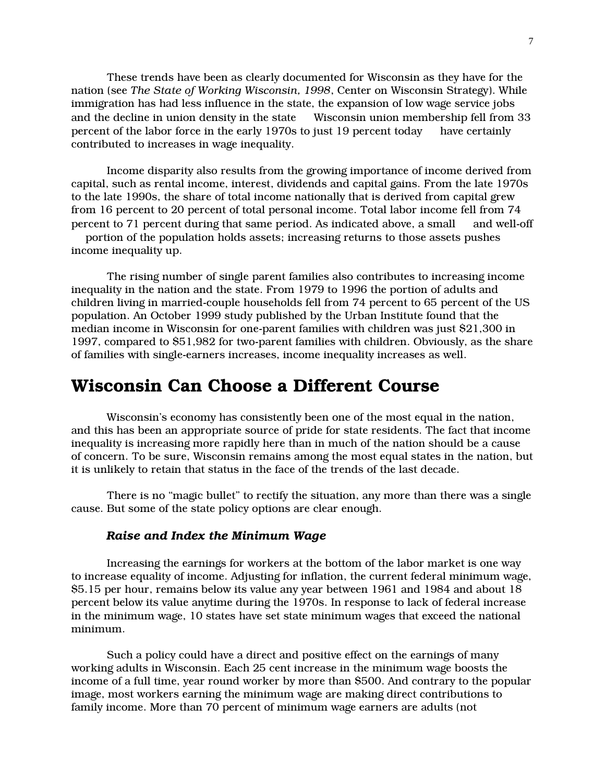These trends have been as clearly documented for Wisconsin as they have for the nation (see The State of Working Wisconsin, 1998, Center on Wisconsin Strategy). While immigration has had less influence in the state, the expansion of low wage service jobs and the decline in union density in the state — Wisconsin union membership fell from 33 percent of the labor force in the early 1970s to just 19 percent today — have certainly contributed to increases in wage inequality.

Income disparity also results from the growing importance of income derived from capital, such as rental income, interest, dividends and capital gains. From the late 1970s to the late 1990s, the share of total income nationally that is derived from capital grew from 16 percent to 20 percent of total personal income. Total labor income fell from 74 percent to 71 percent during that same period. As indicated above, a small — and well-off — portion of the population holds assets; increasing returns to those assets pushes income inequality up.

The rising number of single parent families also contributes to increasing income inequality in the nation and the state. From 1979 to 1996 the portion of adults and children living in married-couple households fell from 74 percent to 65 percent of the US population. An October 1999 study published by the Urban Institute found that the median income in Wisconsin for one-parent families with children was just \$21,300 in 1997, compared to \$51,982 for two-parent families with children. Obviously, as the share of families with single-earners increases, income inequality increases as well.

## Wisconsin Can Choose a Different Course

Wisconsin's economy has consistently been one of the most equal in the nation, and this has been an appropriate source of pride for state residents. The fact that income inequality is increasing more rapidly here than in much of the nation should be a cause of concern. To be sure, Wisconsin remains among the most equal states in the nation, but it is unlikely to retain that status in the face of the trends of the last decade.

There is no "magic bullet" to rectify the situation, any more than there was a single cause. But some of the state policy options are clear enough.

#### Raise and Index the Minimum Wage

Increasing the earnings for workers at the bottom of the labor market is one way to increase equality of income. Adjusting for inflation, the current federal minimum wage, \$5.15 per hour, remains below its value any year between 1961 and 1984 and about 18 percent below its value anytime during the 1970s. In response to lack of federal increase in the minimum wage, 10 states have set state minimum wages that exceed the national minimum.

Such a policy could have a direct and positive effect on the earnings of many working adults in Wisconsin. Each 25 cent increase in the minimum wage boosts the income of a full time, year round worker by more than \$500. And contrary to the popular image, most workers earning the minimum wage are making direct contributions to family income. More than 70 percent of minimum wage earners are adults (not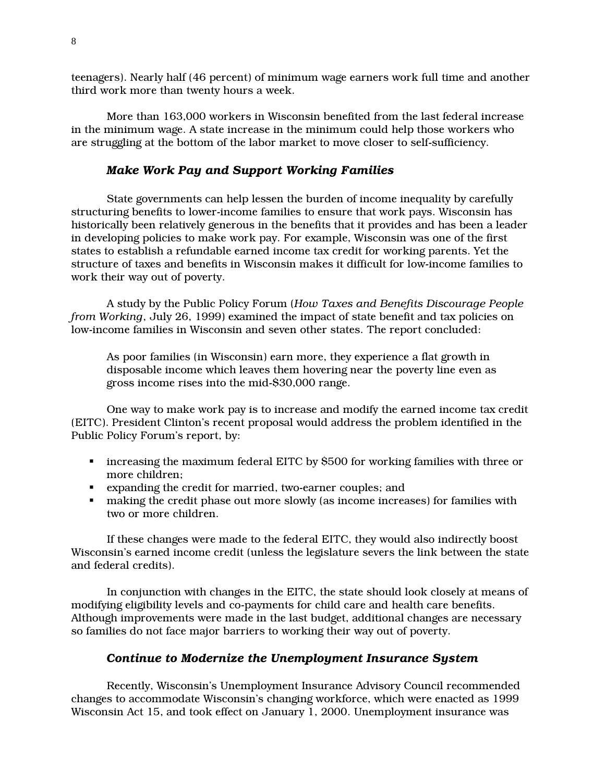teenagers). Nearly half (46 percent) of minimum wage earners work full time and another third work more than twenty hours a week.

More than 163,000 workers in Wisconsin benefited from the last federal increase in the minimum wage. A state increase in the minimum could help those workers who are struggling at the bottom of the labor market to move closer to self-sufficiency.

#### **Make Work Pay and Support Working Families**

State governments can help lessen the burden of income inequality by carefully structuring benefits to lower-income families to ensure that work pays. Wisconsin has historically been relatively generous in the benefits that it provides and has been a leader in developing policies to make work pay. For example, Wisconsin was one of the first states to establish a refundable earned income tax credit for working parents. Yet the structure of taxes and benefits in Wisconsin makes it difficult for low-income families to work their way out of poverty.

A study by the Public Policy Forum (How Taxes and Benefits Discourage People from Working, July 26, 1999) examined the impact of state benefit and tax policies on low-income families in Wisconsin and seven other states. The report concluded:

As poor families (in Wisconsin) earn more, they experience a flat growth in disposable income which leaves them hovering near the poverty line even as gross income rises into the mid-\$30,000 range.

One way to make work pay is to increase and modify the earned income tax credit (EITC). President Clinton's recent proposal would address the problem identified in the Public Policy Forum's report, by:

- increasing the maximum federal EITC by \$500 for working families with three or more children:
- expanding the credit for married, two-earner couples; and
- making the credit phase out more slowly (as income increases) for families with two or more children.

If these changes were made to the federal EITC, they would also indirectly boost Wisconsin's earned income credit (unless the legislature severs the link between the state and federal credits).

In conjunction with changes in the EITC, the state should look closely at means of modifying eligibility levels and co-payments for child care and health care benefits. Although improvements were made in the last budget, additional changes are necessary so families do not face major barriers to working their way out of poverty.

#### Continue to Modernize the Unemployment Insurance System

Recently, Wisconsin's Unemployment Insurance Advisory Council recommended changes to accommodate Wisconsin's changing workforce, which were enacted as 1999 Wisconsin Act 15, and took effect on January 1, 2000. Unemployment insurance was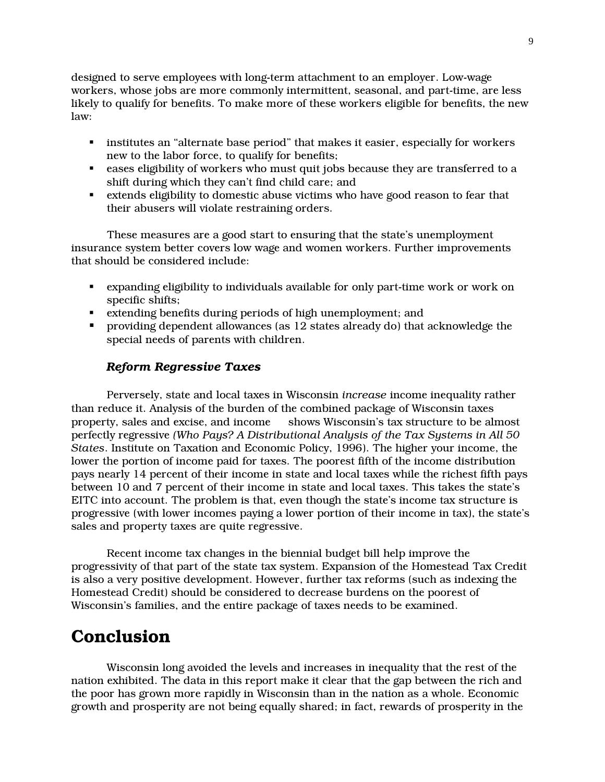designed to serve employees with long-term attachment to an employer. Low-wage workers, whose jobs are more commonly intermittent, seasonal, and part-time, are less likely to qualify for benefits. To make more of these workers eligible for benefits, the new  $law:$ 

- institutes an "alternate base period" that makes it easier, especially for workers new to the labor force, to qualify for benefits;
- eases eligibility of workers who must quit jobs because they are transferred to a shift during which they can't find child care; and
- extends eligibility to domestic abuse victims who have good reason to fear that their abusers will violate restraining orders.

These measures are a good start to ensuring that the state's unemployment insurance system better covers low wage and women workers. Further improvements that should be considered include:

- expanding eligibility to individuals available for only part-time work or work on specific shifts:
- extending benefits during periods of high unemployment; and
- providing dependent allowances (as  $12$  states already do) that acknowledge the special needs of parents with children.

#### **Reform Regressive Taxes**

Perversely, state and local taxes in Wisconsin *increase* income inequality rather than reduce it. Analysis of the burden of the combined package of Wisconsin taxes property, sales and excise, and income - shows Wisconsin's tax structure to be almost perfectly regressive (Who Pays? A Distributional Analysis of the Tax Systems in All 50 States. Institute on Taxation and Economic Policy, 1996). The higher your income, the lower the portion of income paid for taxes. The poorest fifth of the income distribution pays nearly 14 percent of their income in state and local taxes while the richest fifth pays between 10 and 7 percent of their income in state and local taxes. This takes the state's EITC into account. The problem is that, even though the state's income tax structure is progressive (with lower incomes paying a lower portion of their income in tax), the state's sales and property taxes are quite regressive.

Recent income tax changes in the biennial budget bill help improve the progressivity of that part of the state tax system. Expansion of the Homestead Tax Credit is also a very positive development. However, further tax reforms (such as indexing the Homestead Credit) should be considered to decrease burdens on the poorest of Wisconsin's families, and the entire package of taxes needs to be examined.

## **Conclusion**

Wisconsin long avoided the levels and increases in inequality that the rest of the nation exhibited. The data in this report make it clear that the gap between the rich and the poor has grown more rapidly in Wisconsin than in the nation as a whole. Economic growth and prosperity are not being equally shared; in fact, rewards of prosperity in the